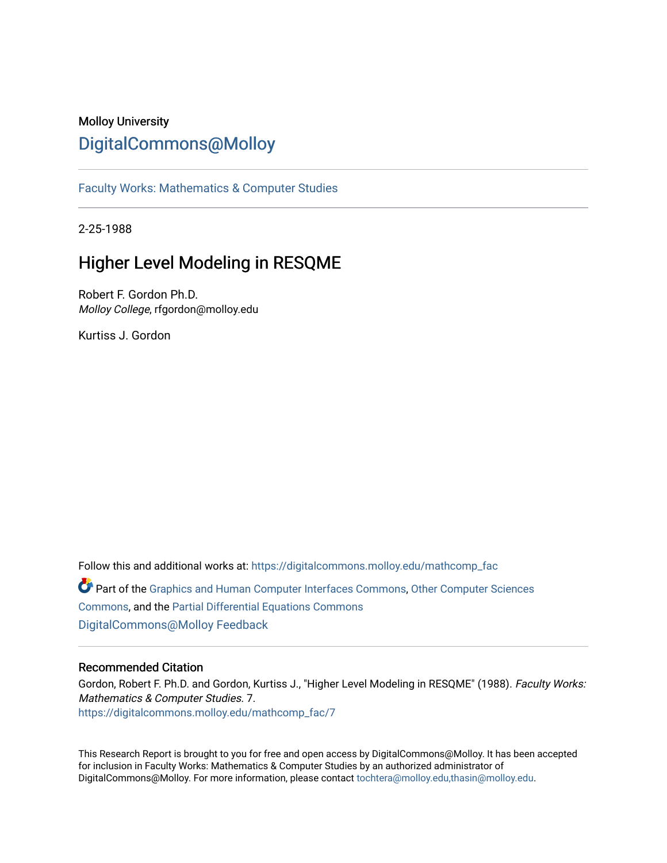# Molloy University [DigitalCommons@Molloy](https://digitalcommons.molloy.edu/)

[Faculty Works: Mathematics & Computer Studies](https://digitalcommons.molloy.edu/mathcomp_fac) 

2-25-1988

# Higher Level Modeling in RESQME

Robert F. Gordon Ph.D. Molloy College, rfgordon@molloy.edu

Kurtiss J. Gordon

Follow this and additional works at: [https://digitalcommons.molloy.edu/mathcomp\\_fac](https://digitalcommons.molloy.edu/mathcomp_fac?utm_source=digitalcommons.molloy.edu%2Fmathcomp_fac%2F7&utm_medium=PDF&utm_campaign=PDFCoverPages) Part of the [Graphics and Human Computer Interfaces Commons,](https://network.bepress.com/hgg/discipline/146?utm_source=digitalcommons.molloy.edu%2Fmathcomp_fac%2F7&utm_medium=PDF&utm_campaign=PDFCoverPages) [Other Computer Sciences](https://network.bepress.com/hgg/discipline/152?utm_source=digitalcommons.molloy.edu%2Fmathcomp_fac%2F7&utm_medium=PDF&utm_campaign=PDFCoverPages)  [Commons](https://network.bepress.com/hgg/discipline/152?utm_source=digitalcommons.molloy.edu%2Fmathcomp_fac%2F7&utm_medium=PDF&utm_campaign=PDFCoverPages), and the [Partial Differential Equations Commons](https://network.bepress.com/hgg/discipline/120?utm_source=digitalcommons.molloy.edu%2Fmathcomp_fac%2F7&utm_medium=PDF&utm_campaign=PDFCoverPages)  [DigitalCommons@Molloy Feedback](https://molloy.libwizard.com/f/dcfeedback)

#### Recommended Citation

Gordon, Robert F. Ph.D. and Gordon, Kurtiss J., "Higher Level Modeling in RESQME" (1988). Faculty Works: Mathematics & Computer Studies. 7. [https://digitalcommons.molloy.edu/mathcomp\\_fac/7](https://digitalcommons.molloy.edu/mathcomp_fac/7?utm_source=digitalcommons.molloy.edu%2Fmathcomp_fac%2F7&utm_medium=PDF&utm_campaign=PDFCoverPages)

This Research Report is brought to you for free and open access by DigitalCommons@Molloy. It has been accepted for inclusion in Faculty Works: Mathematics & Computer Studies by an authorized administrator of DigitalCommons@Molloy. For more information, please contact [tochtera@molloy.edu,thasin@molloy.edu.](mailto:tochtera@molloy.edu,thasin@molloy.edu)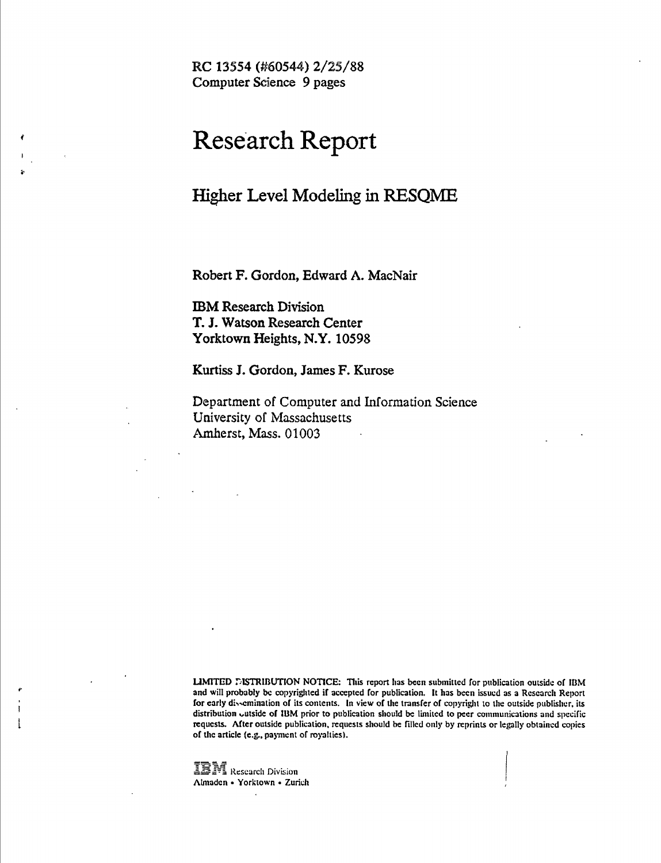**RC 13554 (#60544) 2/25/88 Computer Science 9 pages**

# **Research Report**

# **Higher Level Modeling in RESQME**

**Robert F. Gordon, Edward A. MacNair**

**IBM Research Division T. J. Watson Research Center Yorktown Heights, N.Y. 10598**

**Kurtiss J. Gordon, James F. Kurose**

**Department of Computer and Information Science University of Massachusetts Amherst, Mass, 01003**

LIMITED DISTRIBUTION NOTICE: This report has been submitted for publication outside of IBM and will probably be copyrighted if accepted for publication. It has been issued as a Research Report for early dissemination of its contents. In view of the transfer of copyright to the outside publisher, its distribution uutside of IBM prior to publieation should be limited to peer eommunications and specific requests. After outside publication, requests should be filled only by reprints or legally obtained copies of the article (e.g., payment of royalties).

**LEM** Research Division Almadén • Yorktown • Zurich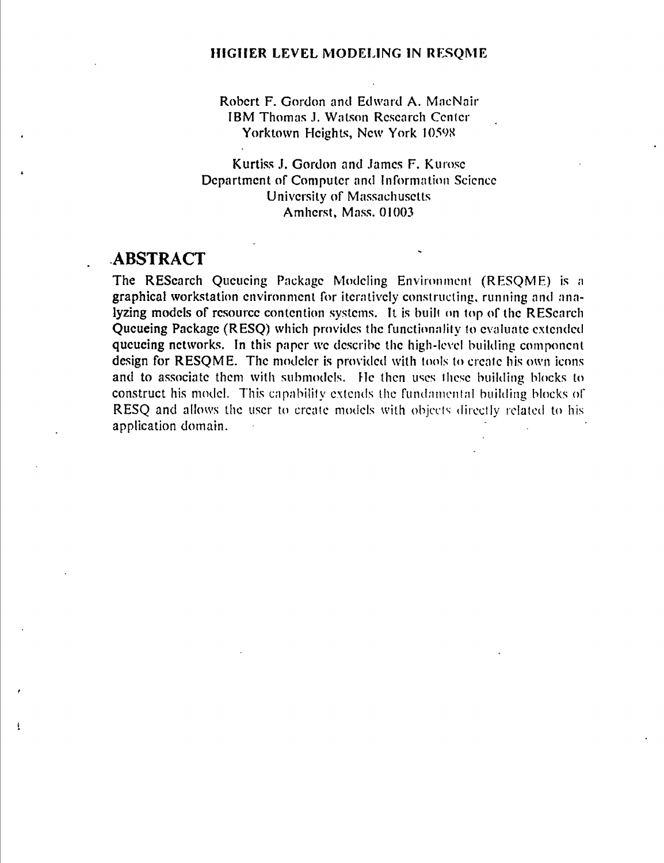Robert F. Gordon and Edward A. MacNair IBM Thomas J. Watson Research Center Yorktown Heights, New York I059S

Kurtiss J. Gordon and James F. Kurose Department of Computer and Information Science University of Massachusetts Amherst, Mass. 01003

#### **ABSTRACT**

 $\mathbf{I}$ 

The RESearch Queueing Package Modeling Environment (RESQME) is a graphical workstation environment for iteratively constructing, running and analyzing models of resource contention systems. It is built on top of the RESearch Queueing Package (RESQ) which provides the functionality to evaluate extended queueing networks. In this paper we describe the high-level building component design for RESQME. The modeler is provided with tools to create his own icons and to associate them with submodels. He then uses these building blocks to construct his model. This capability extends the fundamental building blocks of RESQ and allows the user to create models with objects directly related to his application domain.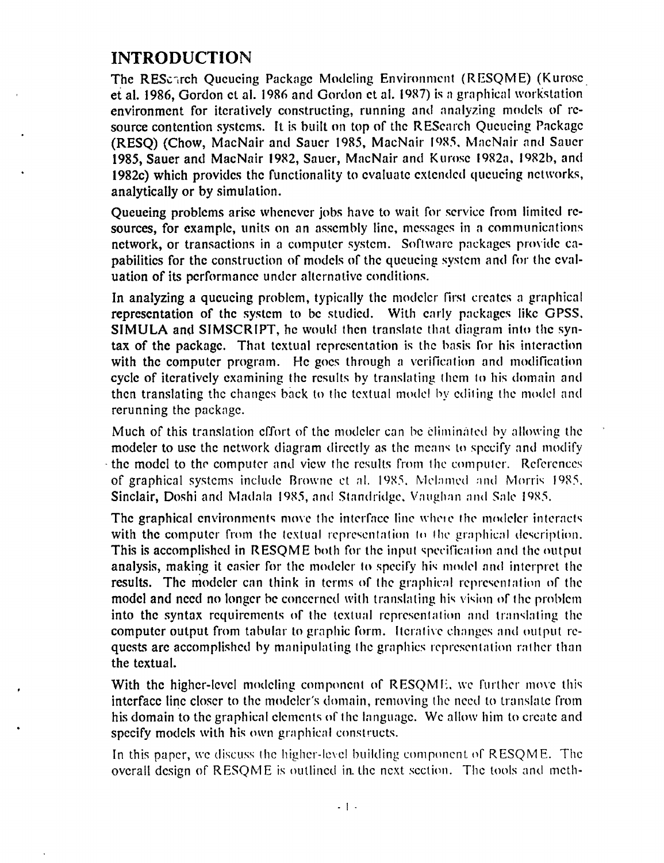### **INTRODUCTION**

The REScirch Queueing Packnge Modeling Environment (RESOME) (Kurosc et al. 1986, Gordon et al. 1986 and Gordon et al. 1987) is a graphical workstation environment for iteratively constructing, running and analyzing models of resource contention systems. It is built on top of the REScarch Queueing Package (RESO) (Chow, MacNair and Sauer 1985, MacNair 1985, MacNair and Sauer 1985, Sauer and MacNair 1982, Sauer, MacNair and Kurosc 1982a, I982b, and 1982c) which provides the functionality to evaluate extended queueing networks, analytically or by simulation.

Queueing problems arise whenever jobs have to wait for service from limited resources, for example, units on an assembly line, messages in a communications network, or transactions in a computer system. Software packages provide capabilities for the construction of models of the queueing system and for the evaluation of its performance under alternative conditions.

In analyzing a queueing problem, typically the modeler first creates a graphical representation of the system to be studied. With early packages like GPSS. SIMULA and SIMSCRIPT, he would then translate that diagram into the syntax of the package. That textual representation is the basis for his interaction with the computer program. He goes through a verification and modification cycle of iteratively examining the results by translating them to his domain and then translating the changes back to the textual model by editing the model and rerunning the package.

Much of this translation effort of the modeler can be eliminated by allowing the modeler to use the network diagram directly as the means to specify and modify the model to the computer and view the results from the computer. References of graphical systems include Browne et al. 1985. Melamed and Morris 1985. Sinclair, Doshi and Madala 1985, and Standridge. Vaughan and Sale 1985.

The graphical environments move the interface line where the modeler interacts with the computer from the textual representation to the graphical description. This is accomplished in RESQME both for the input specification and the output analysis, making it easier for the modeler to specify his model and interpret the results. The modeler can think in terms of the graphical representation of the model and need no longer be concerned with translating his vision of the problem into the syntax requirements of the textual representation and translating the computer output from tabular to graphic form. Itcratixc changes and output requests are accomplished by manipulating the graphics representation rather than the textual.

With the higher-level modeling component of RESQME, we further move this interface line closer to the modeler's domain, removing the need to translate from his domain to the graphical elements of the language. We allow him to create and specify models with his own graphical constructs.

In this paper, we discuss the higher-level building component of RESQME. The overall design of RESQME is outlined in. the next section. The tools and meth-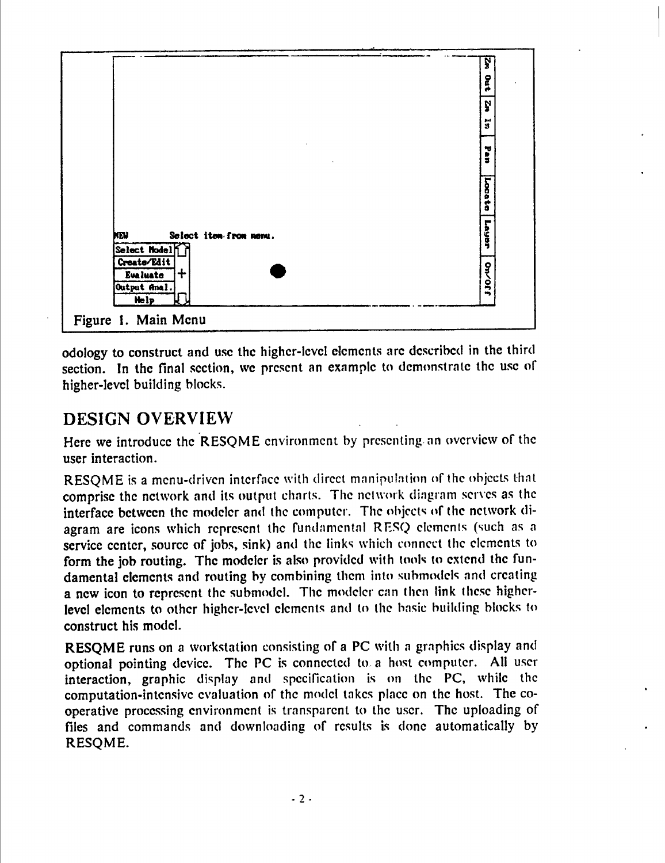|                                                                               | <b>SA</b>               |  |
|-------------------------------------------------------------------------------|-------------------------|--|
|                                                                               | <b>Dut</b>              |  |
|                                                                               | Ņ                       |  |
|                                                                               | $\overline{\mathbf{a}}$ |  |
|                                                                               | <b>Pan</b>              |  |
|                                                                               | Locate                  |  |
| Select item-from nemu.<br>NEV.<br>Select Nodel                                | Layer                   |  |
| Create/Edit<br>$\ddag$<br><b>Evaluate</b><br>Output Anal.<br><b>Help</b><br>K | <b>DA/011</b>           |  |
| Figure 1. Main Menu                                                           |                         |  |

odology to construct and use the higher-level elements are described in the third section. In the final section, we present an example to demonstrate the use of higher-level building blocks.

# **DESIGN OVERVIEW**

Here we introduce the RESQME environment by presenting an overview of the user interaction.

RESQME is a menu-driven interface with direct manipulation of the objects that comprise the network and its output charts. The network diagram serves as the interface between the modeler and the computer. The objects of the network diagram are icons which represent the fundamental RESQ elements (such as a service center, source of jobs, sink) and the links which connect the elements to form the job routing. The modeler is also provided with tools to extend the fundamental elements and routing by combining them into submodels and creating a new icon to represent the submodel. The modeler can then link these higherlevel elements to other higher-level elements and to the basic building blocks to construct his model.

RESQME runs on a workstation consisting of a PC with a graphics display and optional pointing device. The PC is connected to. a host computer. All user interaction, graphic display and specification is on the PC, while the computation-intensive evaluation of the model takes place on the host. The cooperative processing environment is transparent to the user. The uploading of files and commands and downloading of results is done automatically by RESQME.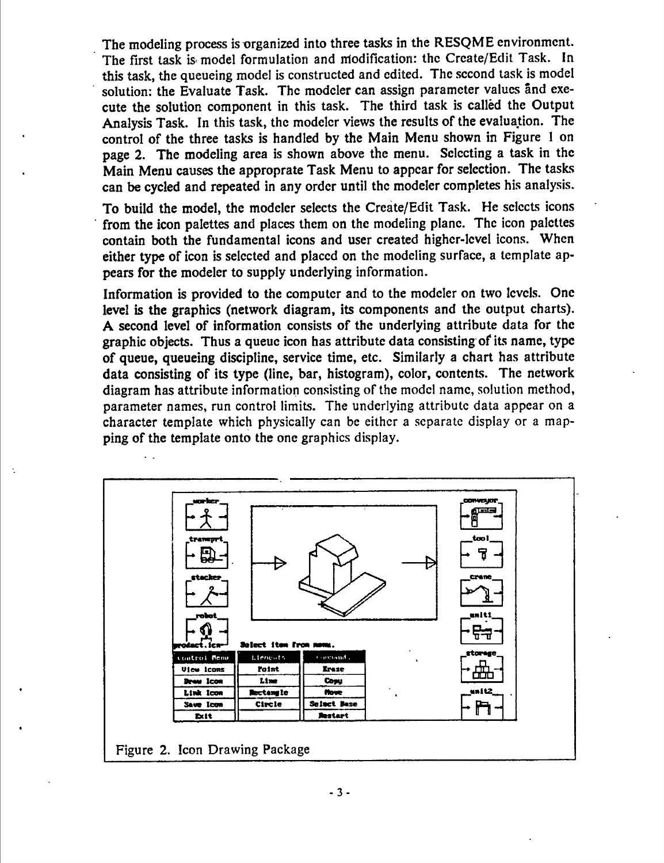The modeling process is organized into three tasks in the RESQME environment. The first task is model formulation and modification: the Create/Edit Task. In this task, the queueing model is constructed and edited. The second task is model solution: the Evaluate Task. The modeler can assign parameter values and execute the solution component in this task. The third task is callèd the Output Analysis Task. In this task, the modeler views the results of the evaluation. The control of the three tasks is handled by the Main Menu shown in Figure <sup>1</sup> on page 2. The modeling area is shown above the menu. Selecting a task in the Main Menu causes the approprate Task Menu to appear for selection. The tasks can be cycled and repeated in any order until the modeler completes his analysis.

To build the model, the modeler selects the Create/Edit Task. He selects icons from the icon palettes and places them on the modeling plane. The icon palettes contain both the fundamental icons and user created higher-level icons. When either type of icon is selected and placed on the modeling surface, a template appears for the modeler to supply underlying information.

Information is provided to the computer and to the modeler on two levels. One level is the graphics (network diagram, its components and the output charts). A second level of information consists of the underlying attribute data for the graphic objects. Thus a queue icon has attribute data consisting of its name, type of queue, queueing discipline, service time, etc. Similarly a chart has attribute data consisting of its type (line, bar, histogram), color, contents. The network diagram has attribute information consisting of the model name, solution method, parameter names, run control limits. The underlying attribute data appear on a character template which physically can be either a separate display or a mapping of the template onto the one graphics display.





 $\ddot{\phantom{1}}$ 

-**3**-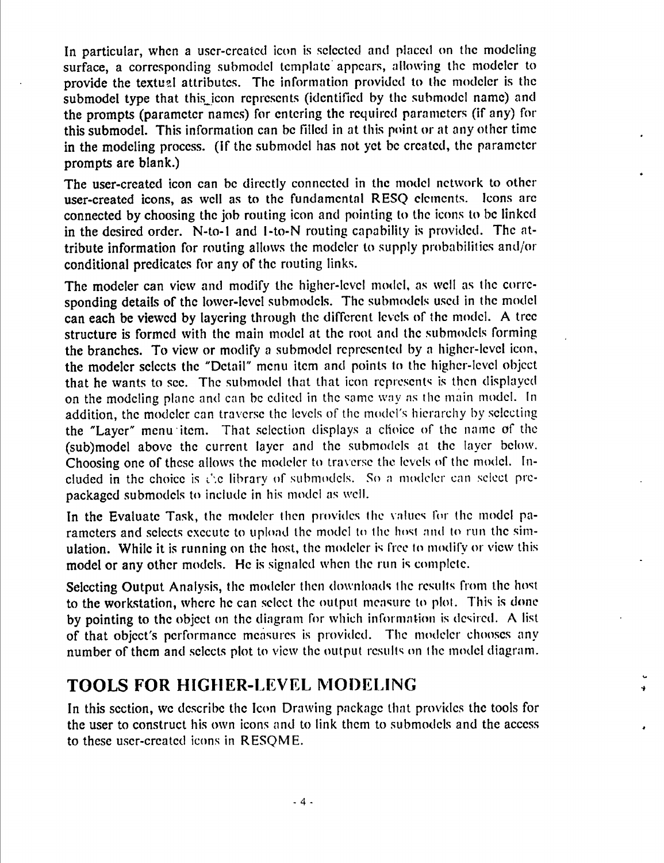In particular, when a user-created icon is selected and placed on the modeling surface, a corresponding submodel template appears, allowing the modeler to provide the textual attributes. The information provided to the modeler is the submodel type that this icon represents (identified by the submodel name) and the prompts (parameter names) for entering the required parameters (if any) for this submodel. This information can be filled in at this point or at any other time in the modeling process, (if the submodel has not yet be created, the parameter prompts are blank.)

The user-created icon can be directly connected in the model network to other user-created icons, as well as to the fundamental RESQ elements. Icons arc connected by choosing the job routing icon and pointing to the icons to be linked in the desired order, N-to-1 and 1-to-N routing capability is provided. The attribute information for routing allows the modeler to supply probabilities and/or conditional predicates for any of the routing links.

The modeler can view and modify the higher-level model, as well as the corresponding details of the lower-level submodels. The submodels used in the model can each be viewed by layering through the different levels of the model. A tree structure is formed with the main model at the root and the submodels forming the branches. To view or modify a submodel represented by a higher-level icon, the modeler selects the "Detail" menu item and points to the higher-level object that he wants to see. The submodel that that icon represents is then displayed on the modeling plane and can be edited in the same way as the main model. In addition, the modeler can traverse the levels of the model's hierarchy by selecting the "Layer" menu item. That selection displays a choice of the name of the (sub)model above the current layer and the submodels at the layer below. Choosing one of these allows the modeler to traverse the levels of the model. Included in the choice is I'.c library of submodels. So a modeler can select prepackaged submodels to include in his model as well.

In the Evaluate Task, the modeler then provides the values for the model parameters and selects execute to upload the model to the host and to run the simulation. While it is running on the host, the modeler is free to modify or view this model or any other models. He is signaled when the run is complete.

Selecting Output Analysis, the modeler then downloads the results from the host to the workstation, where he can select the output measure to plot. This is done by pointing to the object on the diagram for which information is desired. A list of that object's performance measures is provided. The modeler chooses any number of them and selects plot to view the output results on the model diagram.

#### **TOOLS FOR HIGHER-LEVEL MODELING**

In this section, we describe the Icon Drawing package that provides the tools for the user to construct his own icons and to link them to submodels and the access to these user-created icons in RESQME.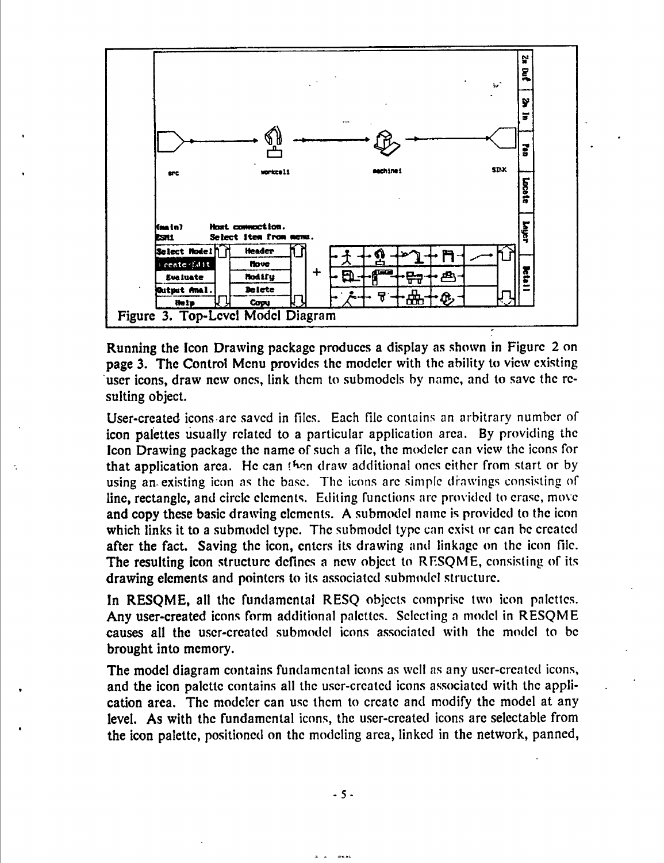

Running the Icon Drawing package produces a display as shown in Figure 2 on page 3. The Control Menu provides the modeler with the ability to view existing user icons, draw new ones, link them to submodels by name, and to save the resulting object.

User-created icons are saved in files. Each file contains an arbitrary number of icon palettes usually related to a particular application area. By providing the Icon Drawing package the name of such a file, the modeler can view the icons for that application area. He can then draw additional ones either from start or by using an existing icon as the base. The icons are simple drawings consisting of line, rectangle, and circle elements. Editing functions are provided to erase, move and copy these basic drawing elements. A submodel name is provided to the icon which links it to a submodel type. The submodel type can exist or can be created after the fact. Saving the icon, enters its drawing and linkage on the icon file. The resulting icon structure defines a new object to RESQME, consisting of its drawing elements and pointers to its associated submodel structure.

In RESQME, all the fundamental RESQ objects comprise two icon palettes. Any user-created icons form additional palettes. Selecting a model in RESQME causes all the user-created submodel icons associated with the model to be brought into memory.

The model diagram contains fundamental icons as well as any user-created icons, and the icon palette contains all the user-created icons associated with the application area. The modeler can use them to create and modify the model at any level. As with the fundamental icons, the user-created icons are selectable from the icon palette, positioned on the modeling area, linked in the network, panned,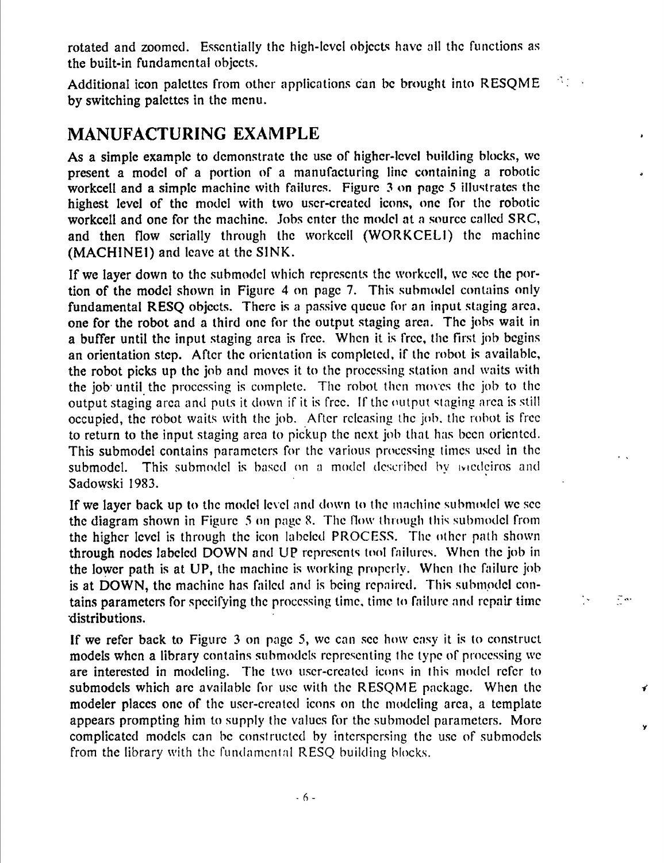rotated and zoomed. Essentially the high-level objects have all the functions as the built-in fundamental objects.

 $\mathcal{O}(\mathcal{O}_\mathcal{A})$  . Additional icon palettes from other applications can be brought into RESQME by switching palettes in the menu.

# **MANUFACTURING EXAMPLE**

As a simple example to demonstrate the use of higher-level building blocks, we present a model of a portion of a manufacturing line containing a robotic workcell and a simple machine with failures. Figure 3 on page 5 illustrates the highest level of the model with two user-created icons, one for the robotic workcell and one for the machine. Jobs enter the model at a source called SRC, and then flow serially through the workccll (WORKCELl) the machine (MACHINEI) and leave at the SINK.

If we layer down to the submodel which represents the workccll, we see the portion of the model shown in Figure 4 on page 7. This submodel contains only fundamental RESQ objects. There is a passive queue for an input staging area, one for the robot and a third one for the output staging area. The jobs wait in a buffer until the input staging area is free. When it is free, the first job begins an orientation step. After the orientation is completed, if the robot is available, the robot picks up the job and moves it to the processing station and waits with the job until the processing is complete. The robot then moves the job to the output staging area and puts it down if it is free. If the output staging area is still occupied, the robot waits with the job. After releasing the job, the robot is free to return to the input staging area to pickup the next job that has been oriented. This submodel contains parameters for the various processing times used in the submodel. This submodel is based on a model described by iviedeiros and Sadowski 1983.

If we layer back up to the model level and down to the machine submodel we see the diagram shown in Figure 5 on page 8. The flow through this submodel from the higher level is through the icon labeled PROCESS. The other path shown through nodes labeled DOWN and UP represents tool failures. When the job in the lower path is at UP, the machine is working properly. When the failure job is at DOWN, the machine has failed and is being repaired. This submodel contains parameters for specifying the processing time, time to failure and repair time distributions.

 $\frac{1}{2}$ 

 $\tilde{\psi}$  as

Ÿ

If we refer back to Figure 3 on page 5, we can see how easy it is to construct models when a library contains submodels representing the type of processing we are interested in modeling. The two user-created icons in this model refer to submodels which arc available for use with the RESQME package. When the modeler places one of the user-created icons on the modeling area, a template appears prompting him to supply the values for the submodel parameters. More complicated models can be constructed by interspersing the use of submodels from the library with the fundamcninl RESQ building blocks.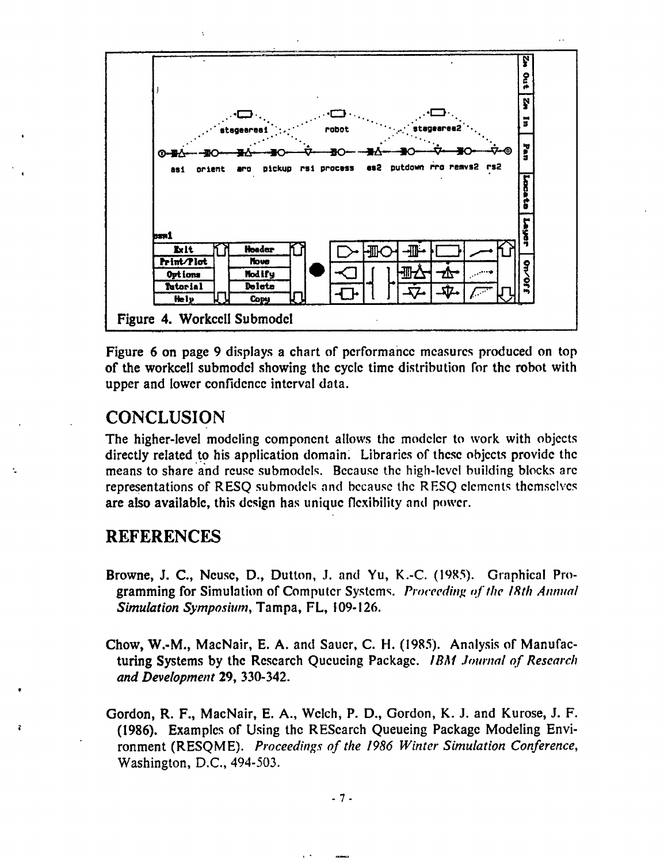

Figure 6 on page 9 displays a chart of performance measures produced on top of the workcell submodel showing the cycle time distribution for the robot with upper and lower confidence interval data.

#### **CONCLUSION**

The higher-level modeling component allows the modeler to work with objects directly related to his application domain. Libraries of these objects provide the means to share and reuse submodels. Because the high-level building blocks are representations of RESO submodels and because the RESO elements themselves are also available, this design has unique flexibility and power.

### **REFERENCES**

- Browne, J. C., Neuse, D., Dutton, J. and Yu, K.-C. (1985). Graphical Programming for Simulation of Computer Systems. Proceeding of the 18th Annual Simulation Symposium, Tampa, FL, 109-126.
- Chow, W.-M., MacNair, E. A. and Sauer, C. H. (1985). Analysis of Manufacturing Systems by the Research Queueing Package. *IBM Journal of Research* and Development 29, 330-342.
- Gordon, R. F., MacNair, E. A., Welch, P. D., Gordon, K. J. and Kurose, J. F. (1986). Examples of Using the RESearch Queueing Package Modeling Environment (RESOME). Proceedings of the 1986 Winter Simulation Conference, Washington, D.C., 494-503.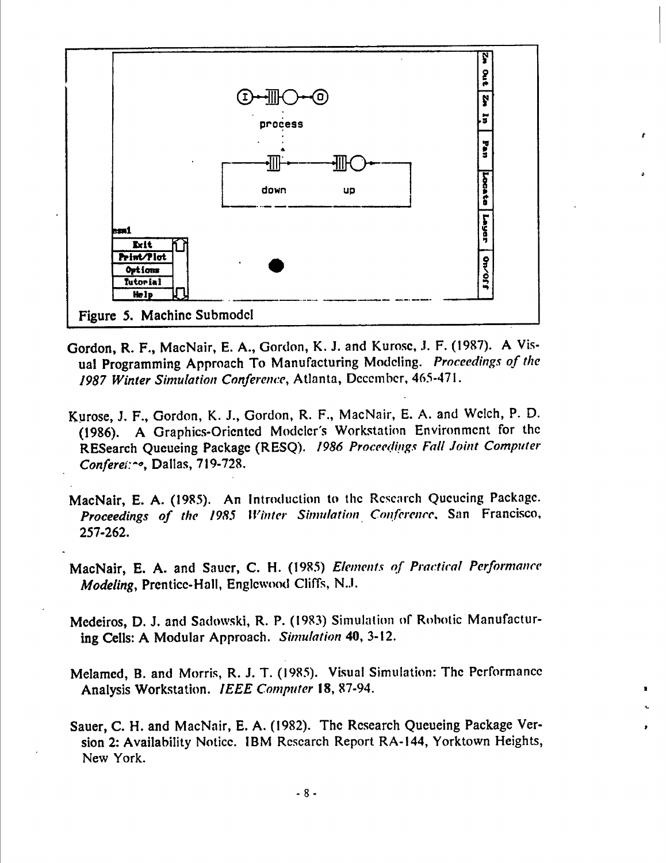

- Gordon, R. F., MacNair, E. A., Gordon, K. J. and Kurose, J. F. (1987). A Visual Programming Approach To Manufacturing Modeling. Proceedings of the 1987 Winter Simulation Conference, Atlanta, December, 465-471.
- Kurose, J. F., Gordon, K. J., Gordon, R. F., MacNair, E. A. and Welch, P. D. (1986). A Graphics-Oriented Modeler's Workstation Environment for the RESearch Queueing Package (RESQ). 1986 Proceedings Fall Joint Computer Conferei: ~ o, Dallas, 719-728.
- MacNair, E. A. (1985). An Introduction to the Research Queueing Package. Proceedings of the 1985 Winter Simulation Conference, San Francisco, 257-262.
- MacNair, E. A. and Sauer, C. H. (1985) Elements of Practical Performance Modeling, Prentice-Hall, Englewood Cliffs, N.J.
- Medeiros, D. J. and Sadowski, R. P. (1983) Simulation of Robotic Manufacturing Cells: A Modular Approach. Simulation 40, 3-12.
- Melamed, B. and Morris, R. J. T. (1985). Visual Simulation: The Performance Analysis Workstation. IEEE Computer 18, 87-94.
- Sauer, C. H. and MacNair, E. A. (1982). The Research Queueing Package Version 2: Availability Notice. IBM Research Report RA-144, Yorktown Heights, New York.